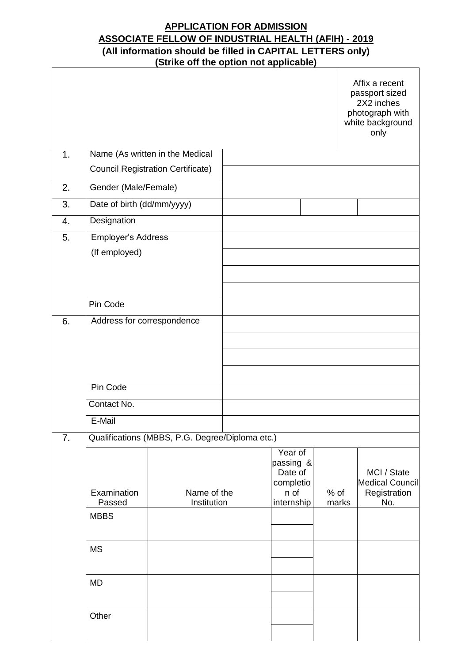# **APPLICATION FOR ADMISSION ASSOCIATE FELLOW OF INDUSTRIAL HEALTH (AFIH) - 2019 (All information should be filled in CAPITAL LETTERS only) (Strike off the option not applicable)**

|    |                            |                                                 |                                              |                 | Affix a recent<br>passport sized<br>2X2 inches<br>photograph with<br>white background<br>only |
|----|----------------------------|-------------------------------------------------|----------------------------------------------|-----------------|-----------------------------------------------------------------------------------------------|
| 1. |                            | Name (As written in the Medical                 |                                              |                 |                                                                                               |
|    |                            | <b>Council Registration Certificate)</b>        |                                              |                 |                                                                                               |
| 2. | Gender (Male/Female)       |                                                 |                                              |                 |                                                                                               |
| 3. | Date of birth (dd/mm/yyyy) |                                                 |                                              |                 |                                                                                               |
| 4. | Designation                |                                                 |                                              |                 |                                                                                               |
| 5. | Employer's Address         |                                                 |                                              |                 |                                                                                               |
|    | (If employed)              |                                                 |                                              |                 |                                                                                               |
|    |                            |                                                 |                                              |                 |                                                                                               |
|    |                            |                                                 |                                              |                 |                                                                                               |
|    | Pin Code                   |                                                 |                                              |                 |                                                                                               |
| 6. | Address for correspondence |                                                 |                                              |                 |                                                                                               |
|    |                            |                                                 |                                              |                 |                                                                                               |
|    |                            |                                                 |                                              |                 |                                                                                               |
|    |                            |                                                 |                                              |                 |                                                                                               |
|    |                            |                                                 |                                              |                 |                                                                                               |
|    | Pin Code                   |                                                 |                                              |                 |                                                                                               |
|    | Contact No.                |                                                 |                                              |                 |                                                                                               |
|    | E-Mail                     |                                                 |                                              |                 |                                                                                               |
| 7. |                            | Qualifications (MBBS, P.G. Degree/Diploma etc.) |                                              |                 |                                                                                               |
|    |                            |                                                 | Year of<br>passing &<br>Date of<br>completio |                 | MCI / State<br>Medical Council                                                                |
|    | Examination<br>Passed      | Name of the<br>Institution                      | n of<br>internship                           | $%$ of<br>marks | Registration<br>No.                                                                           |
|    | <b>MBBS</b>                |                                                 |                                              |                 |                                                                                               |
|    |                            |                                                 |                                              |                 |                                                                                               |
|    | <b>MS</b>                  |                                                 |                                              |                 |                                                                                               |
|    |                            |                                                 |                                              |                 |                                                                                               |
|    | <b>MD</b>                  |                                                 |                                              |                 |                                                                                               |
|    | Other                      |                                                 |                                              |                 |                                                                                               |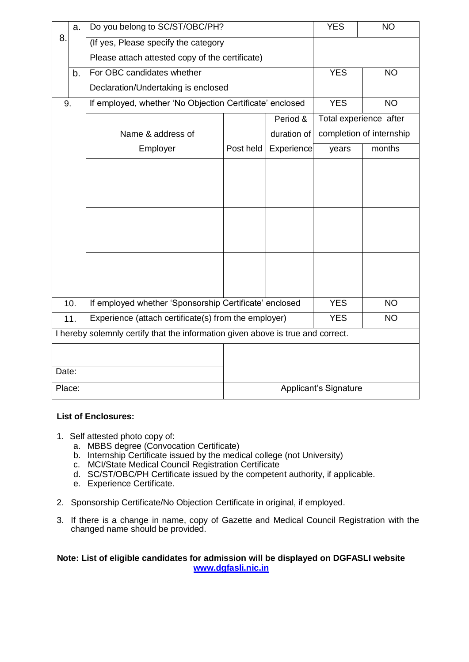|        | a.  | Do you belong to SC/ST/OBC/PH?                                                  | <b>YES</b>               | <b>NO</b>         |                        |           |  |  |  |  |  |
|--------|-----|---------------------------------------------------------------------------------|--------------------------|-------------------|------------------------|-----------|--|--|--|--|--|
| 8.     |     | (If yes, Please specify the category                                            |                          |                   |                        |           |  |  |  |  |  |
|        |     | Please attach attested copy of the certificate)                                 |                          |                   |                        |           |  |  |  |  |  |
|        | b.  | For OBC candidates whether                                                      |                          |                   | <b>YES</b>             | <b>NO</b> |  |  |  |  |  |
|        |     | Declaration/Undertaking is enclosed                                             |                          |                   |                        |           |  |  |  |  |  |
| 9.     |     | If employed, whether 'No Objection Certificate' enclosed                        |                          |                   | <b>YES</b>             | <b>NO</b> |  |  |  |  |  |
|        |     |                                                                                 |                          | Period &          | Total experience after |           |  |  |  |  |  |
|        |     | Name & address of                                                               | completion of internship |                   |                        |           |  |  |  |  |  |
|        |     | Employer                                                                        | Post held                | <b>Experience</b> | years                  | months    |  |  |  |  |  |
|        |     |                                                                                 |                          |                   |                        |           |  |  |  |  |  |
|        |     |                                                                                 |                          |                   |                        |           |  |  |  |  |  |
|        |     |                                                                                 |                          |                   |                        |           |  |  |  |  |  |
|        |     |                                                                                 |                          |                   |                        |           |  |  |  |  |  |
|        |     |                                                                                 |                          |                   |                        |           |  |  |  |  |  |
|        |     |                                                                                 |                          |                   |                        |           |  |  |  |  |  |
|        |     |                                                                                 |                          |                   |                        |           |  |  |  |  |  |
|        |     |                                                                                 |                          |                   |                        |           |  |  |  |  |  |
|        |     |                                                                                 |                          |                   |                        |           |  |  |  |  |  |
|        | 10. | If employed whether 'Sponsorship Certificate' enclosed                          |                          | <b>YES</b>        | <b>NO</b>              |           |  |  |  |  |  |
|        | 11. | Experience (attach certificate(s) from the employer)                            | <b>YES</b>               | <b>NO</b>         |                        |           |  |  |  |  |  |
|        |     | I hereby solemnly certify that the information given above is true and correct. |                          |                   |                        |           |  |  |  |  |  |
|        |     |                                                                                 |                          |                   |                        |           |  |  |  |  |  |
| Date:  |     |                                                                                 |                          |                   |                        |           |  |  |  |  |  |
| Place: |     | <b>Applicant's Signature</b>                                                    |                          |                   |                        |           |  |  |  |  |  |
|        |     |                                                                                 |                          |                   |                        |           |  |  |  |  |  |

### **List of Enclosures:**

- 1. Self attested photo copy of:
	- a. MBBS degree (Convocation Certificate)
	- b. Internship Certificate issued by the medical college (not University)
	- c. MCI/State Medical Council Registration Certificate
	- d. SC/ST[/OBC/](file:///C:/Users/Cli/Downloads/CENTRAL%20LIST%20OF%20OTHER%20BACKWARD%20CLASSES.htm)PH Certificate issued by the competent authority, if applicable.
	- e. Experience Certificate.
- 2. Sponsorship Certificate/No Objection Certificate in original, if employed.
- 3. If there is a change in name, copy of Gazette and Medical Council Registration with the changed name should be provided.

#### **Note: List of eligible candidates for admission will be displayed on DGFASLI website [www.dgfasli.nic.in](http://www.dgfasli.nic.in/)**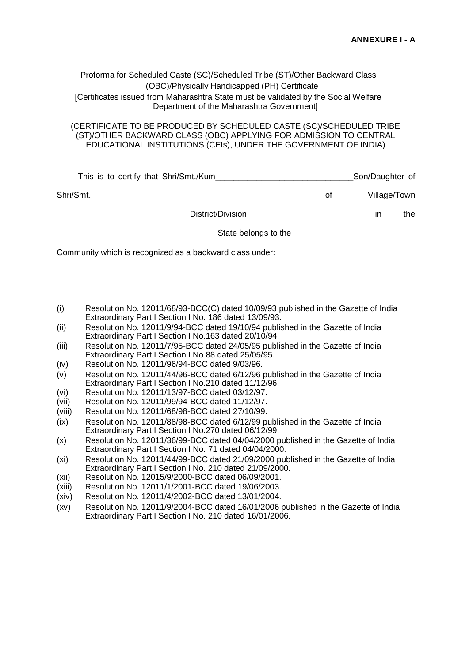#### Proforma for Scheduled Caste (SC)/Scheduled Tribe (ST)/Other Backward Class (OBC)/Physically Handicapped (PH) Certificate [Certificates issued from Maharashtra State must be validated by the Social Welfare Department of the Maharashtra Government]

#### (CERTIFICATE TO BE PRODUCED BY SCHEDULED CASTE (SC)/SCHEDULED TRIBE (ST)/OTHER BACKWARD CLASS (OBC) APPLYING FOR ADMISSION TO CENTRAL EDUCATIONAL INSTITUTIONS (CEIs), UNDER THE GOVERNMENT OF INDIA)

| This is to certify that Shri/Smt./Kum |                                                                                                                                                                                                                                      |    | Son/Daughter of |  |  |
|---------------------------------------|--------------------------------------------------------------------------------------------------------------------------------------------------------------------------------------------------------------------------------------|----|-----------------|--|--|
| Shri/Smt.                             | Οt                                                                                                                                                                                                                                   |    | Village/Town    |  |  |
| District/Division                     |                                                                                                                                                                                                                                      | ın | the             |  |  |
|                                       | State belongs to the <b>contract to the state of the state of the state of the state of the state of the state of the state of the state of the state of the state of the state of the state of the state of the state of the st</b> |    |                 |  |  |

[Community w](file:///C:/Users/Cli/Downloads/CENTRAL%20LIST%20OF%20OTHER%20BACKWARD%20CLASSES.htm)hich is recognized as a backward class under:

- (i) Resolution No. 12011/68/93-BCC(C) dated 10/09/93 published in the Gazette of India Extraordinary Part I Section I No. 186 dated 13/09/93.
- (ii) Resolution No. 12011/9/94-BCC dated 19/10/94 published in the Gazette of India Extraordinary Part I Section I No.163 dated 20/10/94.
- (iii) Resolution No. 12011/7/95-BCC dated 24/05/95 published in the Gazette of India Extraordinary Part I Section I No.88 dated 25/05/95.
- (iv) Resolution No. 12011/96/94-BCC dated 9/03/96.
- (v) Resolution No. 12011/44/96-BCC dated 6/12/96 published in the Gazette of India Extraordinary Part I Section I No.210 dated 11/12/96.
- (vi) Resolution No. 12011/13/97-BCC dated 03/12/97.
- (vii) Resolution No. 12011/99/94-BCC dated 11/12/97.
- (viii) Resolution No. 12011/68/98-BCC dated 27/10/99.
- (ix) Resolution No. 12011/88/98-BCC dated 6/12/99 published in the Gazette of India Extraordinary Part I Section I No.270 dated 06/12/99.
- (x) Resolution No. 12011/36/99-BCC dated 04/04/2000 published in the Gazette of India Extraordinary Part I Section I No. 71 dated 04/04/2000.
- (xi) Resolution No. 12011/44/99-BCC dated 21/09/2000 published in the Gazette of India Extraordinary Part I Section I No. 210 dated 21/09/2000.
- (xii) Resolution No. 12015/9/2000-BCC dated 06/09/2001.
- (xiii) Resolution No. 12011/1/2001-BCC dated 19/06/2003.
- (xiv) Resolution No. 12011/4/2002-BCC dated 13/01/2004.
- (xv) Resolution No. 12011/9/2004-BCC dated 16/01/2006 published in the Gazette of India Extraordinary Part I Section I No. 210 dated 16/01/2006.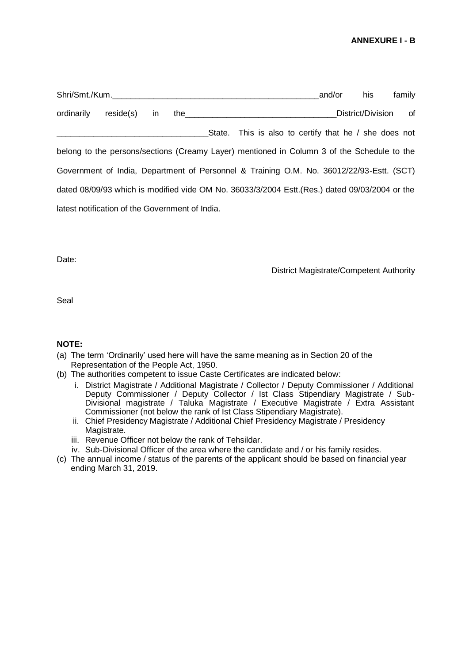#### **ANNEXURE I - B**

|            |                                                 |    |  |                                                                                                | and/or | his               | family |
|------------|-------------------------------------------------|----|--|------------------------------------------------------------------------------------------------|--------|-------------------|--------|
| ordinarily | reside(s)                                       | in |  |                                                                                                |        | District/Division | of     |
|            |                                                 |    |  | State. This is also to certify that he / she does not                                          |        |                   |        |
|            |                                                 |    |  | belong to the persons/sections (Creamy Layer) mentioned in Column 3 of the Schedule to the     |        |                   |        |
|            |                                                 |    |  | Government of India, Department of Personnel & Training O.M. No. 36012/22/93-Estt. (SCT)       |        |                   |        |
|            |                                                 |    |  | dated 08/09/93 which is modified vide OM No. 36033/3/2004 Estt. (Res.) dated 09/03/2004 or the |        |                   |        |
|            | latest notification of the Government of India. |    |  |                                                                                                |        |                   |        |

Date:

District Magistrate/Competent Authority

Seal

#### **NOTE:**

- (a) The term 'Ordinarily' used here will have the same meaning as in Section 20 of the Representation of the People Act, 1950.
- (b) The authorities competent to issue Caste Certificates are indicated below:
	- i. District Magistrate / Additional Magistrate / Collector / Deputy Commissioner / Additional Deputy Commissioner / Deputy Collector / Ist Class Stipendiary Magistrate / Sub-Divisional magistrate / Taluka Magistrate / Executive Magistrate / Extra Assistant Commissioner (not below the rank of Ist Class Stipendiary Magistrate).
	- ii. Chief Presidency Magistrate / Additional Chief Presidency Magistrate / Presidency Magistrate.
	- iii. Revenue Officer not below the rank of Tehsildar.
	- iv. Sub-Divisional Officer of the area where the candidate and / or his family resides.
- (c) The annual income / status of the parents of the applicant should be based on financial year ending March 31, 2019.